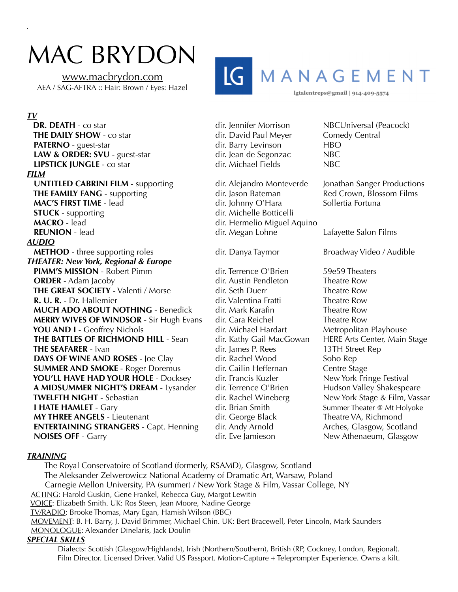## MAC BRYDON

[www.macbrydon.com](http://www.macbrydon.com) AEA / SAG-AFTRA :: Hair: Brown / Eyes: Hazel



lgtalentreps@gmail | 914-409-5574

## *TV*

**DR. DEATH** - co star **DR. DEATH** - co star dir. Jennifer Morrison NBCUniversal (Peacock) **THE DAILY SHOW** - co star dir. David Paul Meyer Comedy Central **PATERNO** - guest-star **dir. Barry Levinson** HBO **LAW & ORDER: SVU** - guest-star dir. Jean de Segonzac NBC<br>**LIPSTICK IUNGLE** - co star dir. Michael Fields NBC **LIPSTICK JUNGLE** - co star dir. Michael Fields NBC *FILM*  **UNTITLED CABRINI FILM** - supporting dir. Alejandro Monteverde Jonathan Sanger Productions<br> **THE FAMILY FANG** - supporting dir. Jason Bateman Red Crown, Blossom Films **THE FAMILY FANG** - supporting dir. Jason Bateman Red Crown, Bloss<br>
MAC'S FIRST TIME - lead direction direction direction of Hara Sollertia Fortuna **MAC'S FIRST TIME** - lead dir. Johnny O'Hara **STUCK** - supporting dir. Michelle Botticelli **MACRO** - lead dir. Hermelio Miguel Aquino **REUNION** - lead **dir.** Megan Lohne Lafayette Salon Films *AUDIO*  **METHOD** - three supporting roles dir. Danya Taymor Broadway Video / Audible *THEATER: New York, Regional & Europe*  **PIMM'S MISSION** - Robert Pimm dir. Terrence O'Brien 59e59 Theaters **ORDER** - Adam Jacoby **dir.** Austin Pendleton Theatre Row **THE GREAT SOCIETY** - Valenti / Morse dir. Seth Duerr Theatre Row **R. U. R.** - Dr. Hallemier **dir. Valentina Fratti** Theatre Row **MUCH ADO ABOUT NOTHING** - Benedick dir. Mark Karafin Theatre Row **MERRY WIVES OF WINDSOR** - Sir Hugh Evans dir. Cara Reichel Theatre Row **YOU AND I** - Geoffrey Nichols dir. Michael Hardart Metropolitan Playhouse **THE BATTLES OF RICHMOND HILL** - Sean dir. Kathy Gail MacGowan HERE Arts Center, Main Stage **THE SEAFARER** - Ivan dir. James P. Rees 13TH Street Rep **DAYS OF WINE AND ROSES** - Joe Clay dir. Rachel Wood Soho Rep **SUMMER AND SMOKE** - Roger Doremus dir. Cailin Heffernan Centre Stage  **YOU'LL HAVE HAD YOUR HOLE** - Docksey dir. Francis Kuzler New York Fringe Festival **A MIDSUMMER NIGHT'S DREAM** - Lysander dir. Terrence O'Brien Hudson Valley Shakespeare **TWELFTH NIGHT** - Sebastian dir. Rachel Wineberg New York Stage & Film, Vassar **I HATE HAMLET** - Gary **Summer Theater @ Mt Holyoke** dir. Brian Smith Summer Theater @ Mt Holyoke **MY THREE ANGELS** - Lieutenant dir. George Black Theatre VA, Richmond **ENTERTAINING STRANGERS** - Capt. Henning dir. Andy Arnold Arches, Glasgow, Scotland **NOISES OFF** - Garry **Conserverse Conserverse Conserverse Conserverse Conserverse Conserverse Conserverse Conserverse Conserverse Conserverse Conserverse Conserverse Conserverse Conserverse Conserverse Conserverse Conserve** 

## *TRAINING*

 The Royal Conservatoire of Scotland (formerly, RSAMD), Glasgow, Scotland The Aleksander Zelwerowicz National Academy of Dramatic Art, Warsaw, Poland Carnegie Mellon University, PA (summer) / New York Stage & Film, Vassar College, NY ACTING: Harold Guskin, Gene Frankel, Rebecca Guy, Margot Lewitin VOICE: Elizabeth Smith. UK: Ros Steen, Jean Moore, Nadine George TV/RADIO: Brooke Thomas, Mary Egan, Hamish Wilson (BBC) MOVEMENT: B. H. Barry, J. David Brimmer, Michael Chin. UK: Bert Bracewell, Peter Lincoln, Mark Saunders MONOLOGUE: Alexander Dinelaris, Jack Doulin *SPECIAL SKILLS* 

Dialects: Scottish (Glasgow/Highlands), Irish (Northern/Southern), British (RP, Cockney, London, Regional). Film Director. Licensed Driver. Valid US Passport. Motion-Capture + Teleprompter Experience. Owns a kilt.